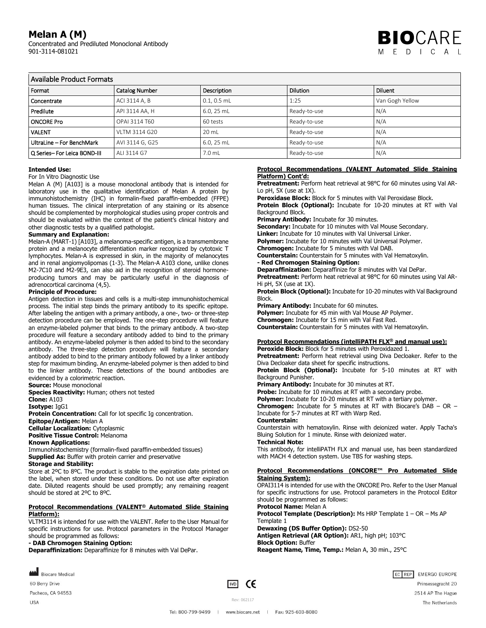# **Melan A (M)**

Concentrated and Prediluted Monoclonal Antibody 901-3114-081021



# Available Product Formats

| Format                      | <b>Catalog Number</b> | Description     | <b>Dilution</b> | Diluent         |
|-----------------------------|-----------------------|-----------------|-----------------|-----------------|
| Concentrate                 | ACI 3114 A, B         | $0.1, 0.5$ mL   | 1:25            | Van Gogh Yellow |
| Predilute                   | API 3114 AA, H        | 6.0, 25 mL      | Ready-to-use    | N/A             |
| <b>ONCORE Pro</b>           | OPAI 3114 T60         | 60 tests        | Ready-to-use    | N/A             |
| <b>VALENT</b>               | VLTM 3114 G20         | $20 \text{ ml}$ | Ready-to-use    | N/A             |
| UltraLine - For BenchMark   | AVI 3114 G, G25       | 6.0, 25 mL      | Ready-to-use    | N/A             |
| Q Series-For Leica BOND-III | ALI 3114 G7           | 7.0 mL          | Ready-to-use    | N/A             |

### **Intended Use:**

For In Vitro Diagnostic Use

Melan A (M) [A103] is a mouse monoclonal antibody that is intended for laboratory use in the qualitative identification of Melan A protein by immunohistochemistry (IHC) in formalin-fixed paraffin-embedded (FFPE) human tissues. The clinical interpretation of any staining or its absence should be complemented by morphological studies using proper controls and should be evaluated within the context of the patient's clinical history and other diagnostic tests by a qualified pathologist.

#### **Summary and Explanation:**

Melan-A (MART-1) [A103], a melanoma-specific antigen, is a transmembrane protein and a melanocyte differentiation marker recognized by cytotoxic T lymphocytes. Melan-A is expressed in skin, in the majority of melanocytes and in renal angiomyolipomas (1-3). The Melan-A A103 clone, unlike clones M2-7C10 and M2-9E3, can also aid in the recognition of steroid hormoneproducing tumors and may be particularly useful in the diagnosis of adrenocortical carcinoma (4,5).

### **Principle of Procedure:**

Antigen detection in tissues and cells is a multi-step immunohistochemical process. The initial step binds the primary antibody to its specific epitope. After labeling the antigen with a primary antibody, a one-, two- or three-step detection procedure can be employed. The one-step procedure will feature an enzyme-labeled polymer that binds to the primary antibody. A two-step procedure will feature a secondary antibody added to bind to the primary antibody. An enzyme-labeled polymer is then added to bind to the secondary antibody. The three-step detection procedure will feature a secondary antibody added to bind to the primary antibody followed by a linker antibody step for maximum binding. An enzyme-labeled polymer is then added to bind to the linker antibody. These detections of the bound antibodies are evidenced by a colorimetric reaction.

**Source:** Mouse monoclonal

**Species Reactivity:** Human; others not tested

**Clone:** A103

**Isotype:** IgG1

**Protein Concentration:** Call for lot specific Ig concentration.

**Epitope/Antigen:** Melan A **Cellular Localization:** Cytoplasmic

**Positive Tissue Control:** Melanoma

#### **Known Applications:**

Immunohistochemistry (formalin-fixed paraffin-embedded tissues) **Supplied As:** Buffer with protein carrier and preservative

#### **Storage and Stability:**

Store at 2ºC to 8ºC. The product is stable to the expiration date printed on the label, when stored under these conditions. Do not use after expiration date. Diluted reagents should be used promptly; any remaining reagent should be stored at 2ºC to 8ºC.

#### **Protocol Recommendations (VALENT® Automated Slide Staining Platform):**

VLTM3114 is intended for use with the VALENT. Refer to the User Manual for specific instructions for use. Protocol parameters in the Protocol Manager should be programmed as follows:

#### **- DAB Chromogen Staining Option:**

**Deparaffinization:** Deparaffinize for 8 minutes with Val DePar.

Biocare Medical

60 Berry Drive

Pacheco, CA 94553 **USA** 

 $\boxed{VD}$  CE

#### **Protocol Recommendations (VALENT Automated Slide Staining Platform) Cont'd:**

**Pretreatment:** Perform heat retrieval at 98°C for 60 minutes using Val AR-Lo pH, 5X (use at 1X).

**Peroxidase Block:** Block for 5 minutes with Val Peroxidase Block. **Protein Block (Optional):** Incubate for 10-20 minutes at RT with Val

Background Block.

**Primary Antibody:** Incubate for 30 minutes.

**Secondary:** Incubate for 10 minutes with Val Mouse Secondary. **Linker:** Incubate for 10 minutes with Val Universal Linker.

**Polymer:** Incubate for 10 minutes with Val Universal Polymer.

**Chromogen:** Incubate for 5 minutes with Val DAB.

**Counterstain:** Counterstain for 5 minutes with Val Hematoxylin. **- Red Chromogen Staining Option:**

## **Deparaffinization:** Deparaffinize for 8 minutes with Val DePar.

**Pretreatment:** Perform heat retrieval at 98°C for 60 minutes using Val AR-Hi pH, 5X (use at 1X).

**Protein Block (Optional):** Incubate for 10-20 minutes with Val Background Block.

**Primary Antibody:** Incubate for 60 minutes.

**Polymer:** Incubate for 45 min with Val Mouse AP Polymer.

**Chromogen:** Incubate for 15 min with Val Fast Red.

**Counterstain:** Counterstain for 5 minutes with Val Hematoxylin.

#### **Protocol Recommendations (intelliPATH FLX® and manual use): Peroxide Block:** Block for 5 minutes with Peroxidazed 1.

**Pretreatment:** Perform heat retrieval using Diva Decloaker. Refer to the Diva Decloaker data sheet for specific instructions.

**Protein Block (Optional):** Incubate for 5-10 minutes at RT with Background Punisher.

**Primary Antibody:** Incubate for 30 minutes at RT.

**Probe:** Incubate for 10 minutes at RT with a secondary probe.

**Polymer:** Incubate for 10-20 minutes at RT with a tertiary polymer.

**Chromogen:** Incubate for 5 minutes at RT with Biocare's DAB – OR – Incubate for 5-7 minutes at RT with Warp Red.

#### **Counterstain:**

Counterstain with hematoxylin. Rinse with deionized water. Apply Tacha's Bluing Solution for 1 minute. Rinse with deionized water.

## **Technical Note:**

This antibody, for intelliPATH FLX and manual use, has been standardized with MACH 4 detection system. Use TBS for washing steps.

#### **Protocol Recommendations (ONCORE™ Pro Automated Slide Staining System):**

OPAI3114 is intended for use with the ONCORE Pro. Refer to the User Manual for specific instructions for use. Protocol parameters in the Protocol Editor should be programmed as follows:

# **Protocol Name:** Melan A

**Protocol Template (Description):** Ms HRP Template 1 – OR – Ms AP Template 1

#### **Dewaxing (DS Buffer Option):** DS2-50 **Antigen Retrieval (AR Option):** AR1, high pH; 103°C **Block Option:** Buffer **Reagent Name, Time, Temp.:** Melan A, 30 min., 25°C

EC REP EMERGO EUROPE Prinsessegracht 20 2514 AP The Hague The Netherlands